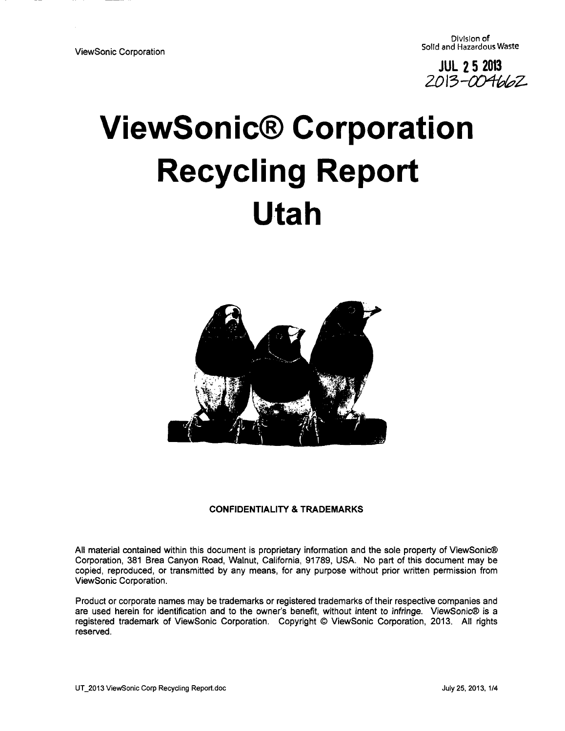**JUL 2 5 2013** 

# **ViewSonic® Corporation Recycling Report Utah**



#### CONFIDENTIALITY & TRADEMARKS

All material contained within this document is proprietary information and the sole property of ViewSonic® Corporation, 381 Brea Canyon Road, Walnut, California, 91789, USA. No part of this document may be copied, reproduced, or transmitted by any means, for any purpose without prior written permission from ViewSonic Corporation.

Product or corporate names may be trademarks or registered trademarks of their respective companies and are used herein for identification and to the owner's benefit, without intent to infringe. ViewSonic® is a registered trademark of ViewSonic Corporation. Copyright © ViewSonic Corporation, 2013. All rights reserved.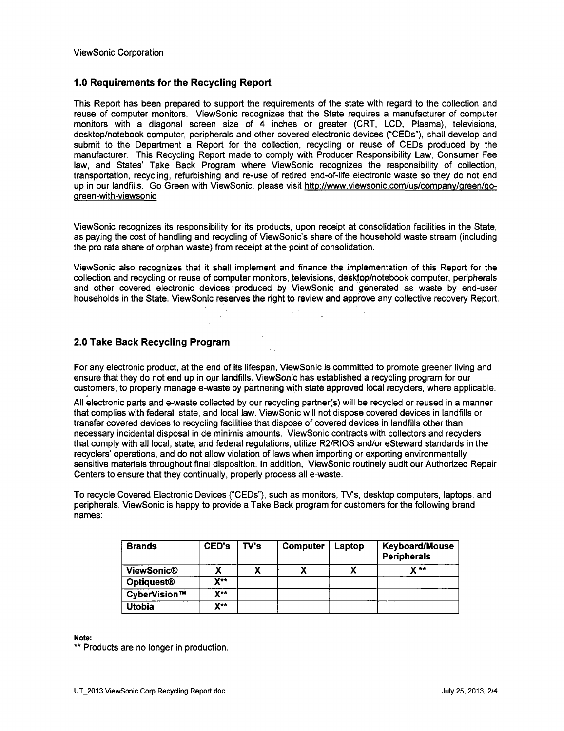#### **1.0 Requirements for the Recycling Report**

This Report has been prepared to support the requirements of the state with regard to the collection and reuse of computer monitors. ViewSonic recognizes that the State requires a manufacturer of computer monitors with a diagonal screen size of 4 inches or greater (CRT, LCD, Plasma), televisions, desktop/notebook computer, peripherals and other covered electronic devices ("CEDs"), shall develop and submit to the Department a Report for the collection, recycling or reuse of CEDs produced by the manufacturer. This Recycling Report made to comply with Producer Responsibility Law, Consumer Fee law, and States' Take Back Program where ViewSonic recognizes the responsibility of collection, transportation, recycling, refurbishing and re-use of retired end-of-life electronic waste so they do not end up in our landfills. Go Green with ViewSonic, please visit http://www.viewsonic.com/us/companv/qreen/goqreen-with-viewsonic

ViewSonic recognizes its responsibility for its products, upon receipt at consolidation facilities in the State, as paying the cost of handling and recycling of ViewSonic's share of the household waste stream (including the pro rata share of orphan waste) from receipt at the point of consolidation.

ViewSonic also recognizes that it shall implement and finance the implementation of this Report for the collection and recycling or reuse of computer monitors, televisions, desktop/notebook computer, peripherals and other covered electronic devices produced by ViewSonic and generated as waste by end-user households in the State. ViewSonic reserves the right to review and approve any collective recovery Report.

#### **2.0 Take Back Recycling Program**

For any electronic product, at the end of its lifespan, ViewSonic is committed to promote greener living and ensure that they do not end up in our landfills. ViewSonic has established a recycling program for our customers, to properly manage e-waste by partnering with state approved local recyclers, where applicable.

All electronic parts and e-waste collected by our recycling partner(s) will be recycled or reused in a manner that complies with federal, state, and local law. ViewSonic will not dispose covered devices in landfills or transfer covered devices to recycling facilities that dispose of covered devices in landfills other than necessary incidental disposal in de minimis amounts. ViewSonic contracts with collectors and recyclers that comply with all local, state, and federal regulations, utilize R2/RI0S and/or eSteward standards in the recyclers' operations, and do not allow violation of laws when importing or exporting environmentally sensitive materials throughout final disposition. In addition, ViewSonic routinely audit our Authorized Repair Centers to ensure that they continually, properly process all e-waste.

To recycle Covered Electronic Devices ("CEDs"), such as monitors, TV's, desktop computers, laptops, and peripherals. ViewSonic is happy to provide a Take Back program for customers for the following brand names:

| <b>Brands</b>     | CED's            | $T\mathbf{V}$ 's | Computer | Laptop | <b>Keyboard/Mouse</b><br><b>Peripherals</b> |
|-------------------|------------------|------------------|----------|--------|---------------------------------------------|
| <b>ViewSonic®</b> |                  |                  |          |        | $\mathbf{v}$ **                             |
| <b>Optiquest®</b> | $X^{\star\star}$ |                  |          |        |                                             |
| CyberVision™      | $X**$            |                  |          |        |                                             |
| <b>Utobia</b>     | <b>Y</b> xx      |                  |          |        |                                             |

**Note:** 

\*\* Products are no longer in production.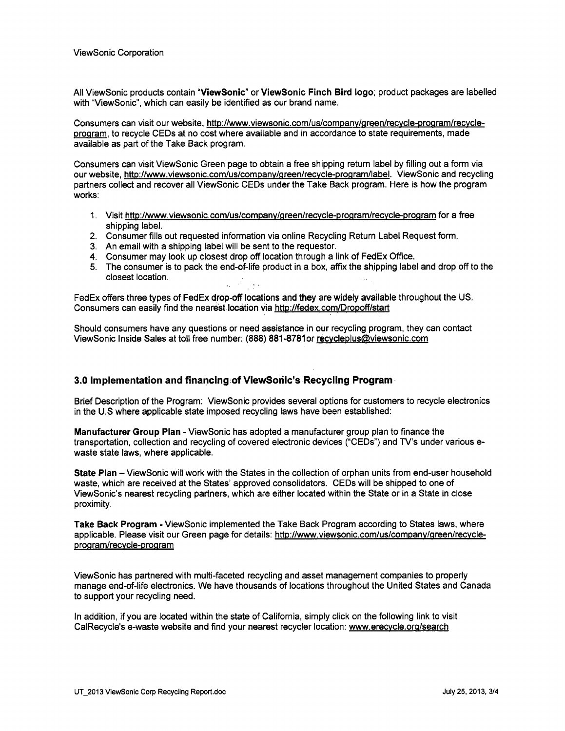All ViewSonic products contain "ViewSonic" or ViewSonic Finch Bird logo; product packages are labelled with "ViewSonic", which can easily be identified as our brand name.

Consumers can visit our website, http://www.viewsonic.com/us/company/green/recycle-program/recycleprogram, to recycle CEDs at no cost where available and in accordance to state requirements, made available as part of the Take Back program.

Consumers can visit ViewSonic Green page to obtain a free shipping return label by filling out a form via our website, http://www.viewsonic.com/us/company/green/recycle-program/label. ViewSonic and recycling partners collect and recover all ViewSonic CEDs under the Take Back program. Here is how the program works:

- 1. Visit http://www.viewsonic.com/us/company/green/recycle-program/recycle-program for a free shipping label.
- 2. Consumer fills out requested information via online Recycling Return Label Request form.
- 3. An email with a shipping label will be sent to the requestor.
- 4. Consumer may look up closest drop off location through a link of FedEx Office.
- 5. The consumer is to pack the end-of-life product in a box, affix the shipping label and drop off to the closest location.

FedEx offers three types of FedEx drop-off locations and they are widely available throughout the US. Consumers can easily find the nearest location via http://fedex.com/Dropoff/start

Should consumers have any questions or need assistance in our recycling program, they can contact ViewSonic Inside Sales at toll free number: (888) 881 -8781 or recvcleplus@viewsonic.com

#### **3.0 Implementation and financing of ViewSonic's Recycling Program**

Brief Description of the Program: ViewSonic provides several options for customers to recycle electronics in the U.S where applicable state imposed recycling laws have been established:

Manufacturer Group Plan - ViewSonic has adopted a manufacturer group plan to finance the transportation, collection and recycling of covered electronic devices ("CEDs") and TV's under various ewaste state laws, where applicable.

State Plan - ViewSonic will work with the States in the collection of orphan units from end-user household waste, which are received at the States' approved consolidators. CEDs will be shipped to one of ViewSonic's nearest recycling partners, which are either located within the State or in a State in close proximity.

Take Back Program - ViewSonic implemented the Take Back Program according to States laws, where applicable. Please visit our Green page for details: http://www.viewsonic.com/us/companv/qreen/recvcleproqram/recvcle-proqram

ViewSonic has partnered with multi-faceted recycling and asset management companies to properly manage end-of-life electronics. We have thousands of locations throughout the United States and Canada to support your recycling need.

In addition, if you are located within the state of California, simply click on the following link to visit CalRecycle's e-waste website and find your nearest recycler location: www.erecvcle.org/search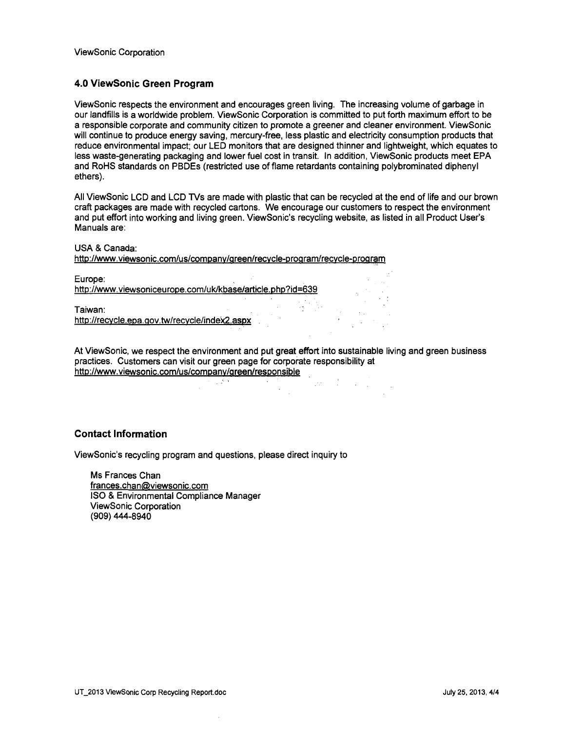### **4.0 ViewSonic Green Program**

ViewSonic respects the environment and encourages green living. The increasing volume of garbage in our landfills is a worldwide problem. ViewSonic Corporation is committed to put forth maximum effort to be a responsible corporate and community citizen to promote a greener and cleaner environment. ViewSonic will continue to produce energy saving, mercury-free, less plastic and electricity consumption products that reduce environmental impact; our LED monitors that are designed thinner and lightweight, which equates to less waste-generating packaging and lower fuel cost in transit. In addition, ViewSonic products meet EPA and RoHS standards on PBDEs (restricted use of flame retardants containing polybrominated diphenyl ethers).

All ViewSonic LCD and LCD TVs are made with plastic that can be recycled at the end of life and our brown craft packages are made with recycled cartons. We encourage our customers to respect the environment and put effort into working and living green. ViewSonic's recycling website, as listed in all Product User's Manuals are:

USA & Canada:

http://www.viewsonic.com/us/company/green/recycle-program/recycle-program http://www.viewsonic.com/us/company/areen/recovered/recovered/recovered/recovered/recovered/recovered/recovere<br>Proaram-proaram-recovered areas and the contract of the contract of the contract of the contract of the contra

Europe: http://www.viewsoniceurope.com/uk/kbase/article.php?id=639

Taiwan: http://recycle.epa.gov.tw/recycle/index2.aspx

At ViewSonic, we respect the environment and put great effort into sustainable living and green business practices. Customers can visit our green page for corporate responsibility at http://www.viewsonic.com/us/companv/green/responsible

#### **Contact Information**

ViewSonic's recycling program and questions, please direct inquiry to

Ms Frances Chan frances.chan@viewsonic.com ISO & Environmental Compliance Manager ViewSonic Corporation (909) 444-8940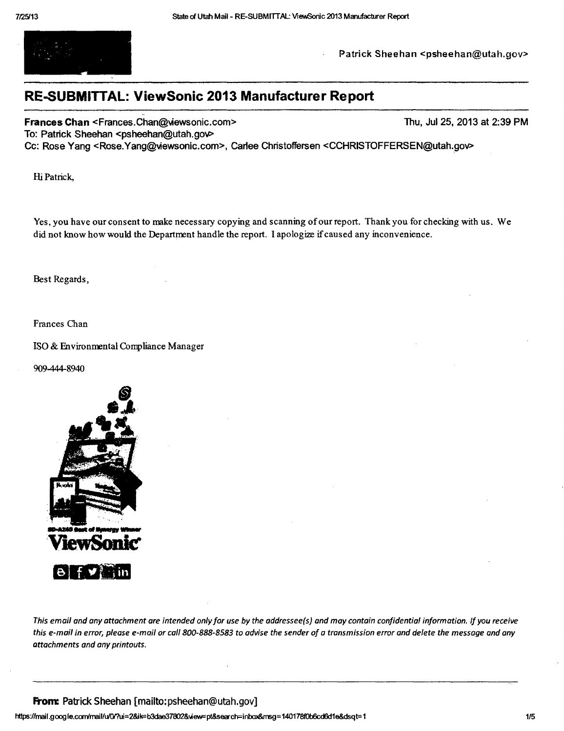

Patrick Sheehan <psheehan@utah.gov>

## **RE-SUBMITTAL: ViewSonic 2013 Manufacturer Report**

Frances Chan <Frances.Chan@viewsonic.com> Thu, Jul 25, 2013 at 2:39 PM

To: Patrick Sheehan <psheehan@utah.gov>

Cc: Rose Yang <Rose.Yang@viewsonic.com>, Carlee Christoffersen <CCHRISTOFFERSEN@utah.gov>

Hi Patrick,

Yes, you have our consent to make necessary copying and scanning of our report. Thank you for checking with us. We did not know how would the Department handle the report. I apologize if caused any inconvenience.

Best Regards,

Frances Chan

ISO & Environmental Compliance Manager

909-444-8940



This email and any attachment are intended only for use by the addressee(s) and may contain confidential information. If you receive this e-mail in error, please e-mail or call 800-888-8583 to advise the sender of a transmission error and delete the message and any attachments and any printouts.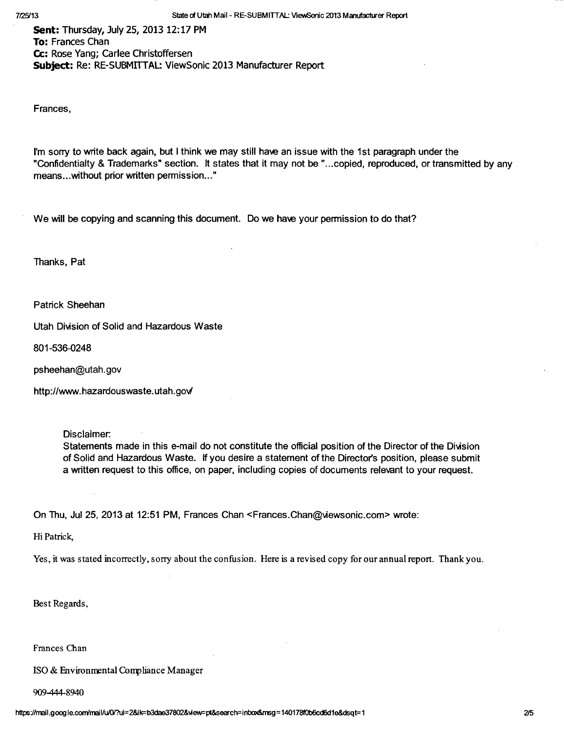Sent: Thursday, July 25, 2013 12:17 PM To: Frances Chan Cc: Rose Yang; Carlee Christoffersen Subject: Re: RE-SUBMITTAL: ViewSonic 2013 Manufacturer Report

Frances,

I'm sorry to write back again, but I think we may still have an issue with the 1st paragraph under the "Confidentialty & Trademarks" section. It states that it may not be "...copied, reproduced, or transmitted by any means...without prior written permission..."

We will be copying and scanning this document. Do we have your permission to do that?

Thanks, Pat

Patrick Sheehan

Utah Division of Solid and Hazardous Waste

801-536-0248

psheehan@utah.gov

http://www.hazardouswaste.utah.gov/

Disclaimer:

Statements made in this e-mail do not constitute the official position of the Director of the Division of Solid and Hazardous Waste. If you desire a statement of the Director's position, please submit a written request to this office, on paper, including copies of documents relevant to your request.

On Thu, Jul 25, 2013 at 12:51 PM, Frances Chan <Frances.Chan@viewsonic.com> wrote:

Hi Patrick,

Yes, it was stated incorrectly, sorry about the confusion. Here is a revised copy for our annual report. Thank you. Yes, it was stated incorrectly, sorry about the confusion. Here is a revised copy for our annual report. Thank you.

Best Regards,

Frances Chan

ISO & Environmental Compliance Manager ISO & Environmental Compliance Manager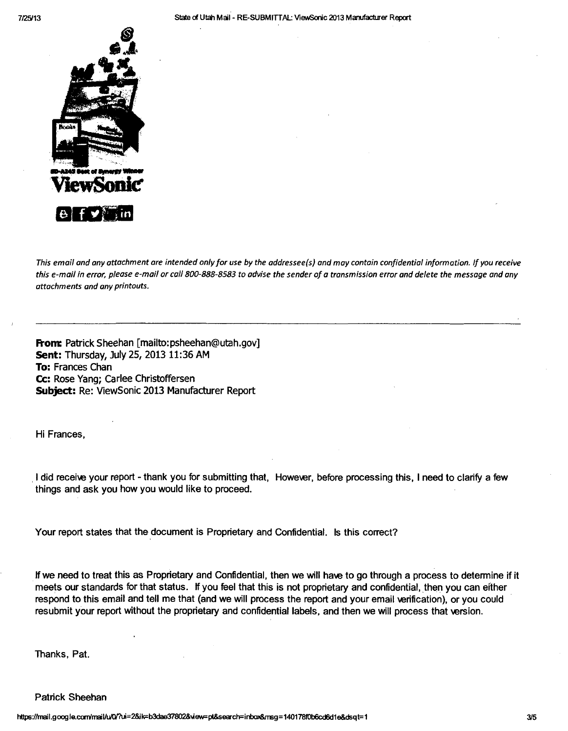

This email and any attachment are intended only for use by the addressee(s) and may contain confidential information. If you receive this e-mail in error, please e-mail or call 800-888-8583 to advise the sender of a transmission error and delete the message and any attachments and any printouts.

From: Patrick Sheehan [mailto:psheehan@utah.gov] Sent: Thursday, July 25, 2013 11:36 AM To: Frances Chan Cc: Rose Yang; Carlee Christoffersen Subject: Re: ViewSonic 2013 Manufacturer Report

Hi Frances,

I did receive your report - thank you for submitting that, However, before processing this, I need to clarify a few things and ask you how you would like to proceed.

Your report states that the document is Proprietary and Confidential. Is this correct?

If we need to treat this as Proprietary and Confidential, then we will have to go through a process to determine if it meets our standards for that status. If you feel that this is not proprietary and confidential, then you can either respond to this email and tell me that (and we will process the report and your email verification), or you could resubmit your report without the proprietary and confidential labels, and then we will process that version.

Thanks, Pat.

Patrick Sheehan